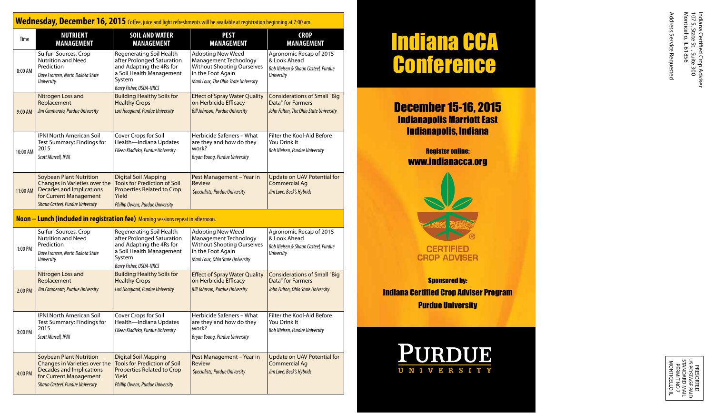## **Wednesday, December 16, 2015** Coffee, juice and light refreshments will be available at registration beginning at 7:00 am

| Time     | <b>NUTRIENT</b><br><b>MANAGEMENT</b>                                                                                                                             | <b>SOIL AND WATER</b><br><b>MANAGEMENT</b>                                                                                                                  | <b>PEST</b><br><b>MANAGEMENT</b>                                                                                                                    | <b>CROP</b><br><b>MANAGEMENT</b>                                                                    |
|----------|------------------------------------------------------------------------------------------------------------------------------------------------------------------|-------------------------------------------------------------------------------------------------------------------------------------------------------------|-----------------------------------------------------------------------------------------------------------------------------------------------------|-----------------------------------------------------------------------------------------------------|
| 8:00 AM  | Sulfur-Sources, Crop<br><b>Nutrition and Need</b><br>Prediction<br>Dave Franzen, North Dakota State<br><b>University</b>                                         | Regenerating Soil Health<br>after Prolonged Saturation<br>and Adapting the 4Rs for<br>a Soil Health Management<br>System<br><b>Barry Fisher, USDA-NRCS</b>  | <b>Adopting New Weed</b><br>Management Technology<br><b>Without Shooting Ourselves</b><br>in the Foot Again<br>Mark Loux, The Ohio State University | Agronomic Recap of 2015<br>& Look Ahead<br>Bob Nielsen & Shaun Casteel, Purdue<br><b>University</b> |
| 9:00 AM  | Nitrogen Loss and<br>Replacement<br>Jim Camberato, Purdue University                                                                                             | <b>Building Healthy Soils for</b><br><b>Healthy Crops</b><br>Lori Hoagland, Purdue University                                                               | <b>Effect of Spray Water Quality</b><br>on Herbicide Efficacy<br><b>Bill Johnson, Purdue University</b>                                             | <b>Considerations of Small "Big</b><br>Data" for Farmers<br>John Fulton, The Ohio State University  |
| 10:00 AM | <b>IPNI North American Soil</b><br>Test Summary: Findings for<br>2015<br>Scott Murrell, IPNI                                                                     | Cover Crops for Soil<br>Health-Indiana Updates<br>Eileen Kladivko, Purdue University                                                                        | Herbicide Safeners - What<br>are they and how do they<br>work?<br>Bryan Young, Purdue University                                                    | Filter the Kool-Aid Before<br>You Drink It<br>Bob Nielsen, Purdue University                        |
| 11:00 AM | <b>Soybean Plant Nutrition</b><br>Changes in Varieties over the<br><b>Decades and Implications</b><br>for Current Management<br>Shaun Casteel, Purdue University | <b>Digital Soil Mapping</b><br><b>Tools for Prediction of Soil</b><br><b>Properties Related to Crop</b><br>Yield<br><b>Phillip Owens, Purdue University</b> | Pest Management - Year in<br>Review<br>Specialists, Purdue University                                                                               | Update on UAV Potential for<br><b>Commercial Ag</b><br>Jim Love, Beck's Hybrids                     |

#### **Noon – Lunch (included in registration fee)** Morning sessions repeat in afternoon.

| 1:00 PM   | Sulfur-Sources, Crop<br><b>Nutrition and Need</b><br>Prediction<br>Dave Franzen, North Dakota State<br><b>University</b>                                         | Regenerating Soil Health<br>after Prolonged Saturation<br>and Adapting the 4Rs for<br>a Soil Health Management<br>System<br><b>Barry Fisher, USDA-NRCS</b> | <b>Adopting New Weed</b><br>Management Technology<br><b>Without Shooting Ourselves</b><br>in the Foot Again<br>Mark Loux, Ohio State University | Agronomic Recap of 2015<br>& Look Ahead<br>Bob Nielsen & Shaun Casteel, Purdue<br><b>University</b> |
|-----------|------------------------------------------------------------------------------------------------------------------------------------------------------------------|------------------------------------------------------------------------------------------------------------------------------------------------------------|-------------------------------------------------------------------------------------------------------------------------------------------------|-----------------------------------------------------------------------------------------------------|
| $2:00$ PM | Nitrogen Loss and<br>Replacement<br>Jim Camberato, Purdue University                                                                                             | <b>Building Healthy Soils for</b><br><b>Healthy Crops</b><br>Lori Hoagland, Purdue University                                                              | <b>Effect of Spray Water Quality</b><br>on Herbicide Efficacy<br><b>Bill Johnson, Purdue University</b>                                         | <b>Considerations of Small "Big</b><br>Data" for Farmers<br>John Fulton, Ohio State University      |
| 3:00 PM   | <b>IPNI North American Soil</b><br>Test Summary: Findings for<br>2015<br>Scott Murrell, IPNI                                                                     | Cover Crops for Soil<br>Health-Indiana Updates<br>Eileen Kladivko, Purdue University                                                                       | Herbicide Safeners - What<br>are they and how do they<br>work?<br>Bryan Young, Purdue University                                                | Filter the Kool-Aid Before<br>You Drink It<br>Bob Nielsen, Purdue University                        |
| 4:00 PM   | <b>Soybean Plant Nutrition</b><br>Changes in Varieties over the<br><b>Decades and Implications</b><br>for Current Management<br>Shaun Casteel, Purdue University | <b>Digital Soil Mapping</b><br><b>Tools for Prediction of Soil</b><br>Properties Related to Crop<br>Yield<br><b>Phillip Owens, Purdue University</b>       | Pest Management - Year in<br>Review<br>Specialists, Purdue University                                                                           | Update on UAV Potential for<br><b>Commercial Ag</b><br>Jim Love, Beck's Hybrids                     |

# Indiana CCA **Conference**

December 15-16, 2015 Indianapolis Marriott East Indianapolis, Indiana

## Register online: www.indianacca.org



**Sponsored by:** Indiana Certified Crop Adviser Program Purdue University



Address Service Requested